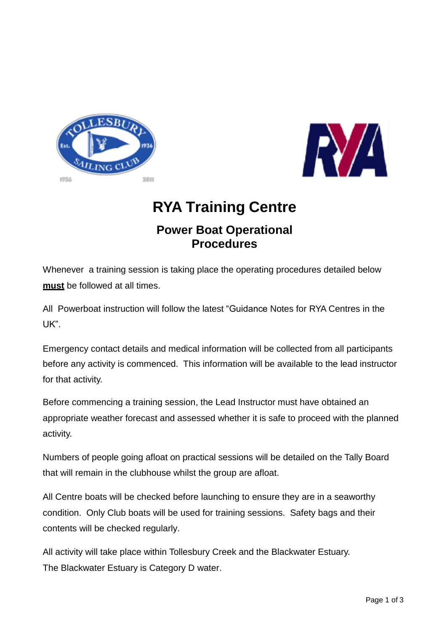



# **RYA Training Centre**

## **Power Boat Operational Procedures**

Whenever a training session is taking place the operating procedures detailed below **must** be followed at all times.

All Powerboat instruction will follow the latest "Guidance Notes for RYA Centres in the UK".

Emergency contact details and medical information will be collected from all participants before any activity is commenced. This information will be available to the lead instructor for that activity.

Before commencing a training session, the Lead Instructor must have obtained an appropriate weather forecast and assessed whether it is safe to proceed with the planned activity.

Numbers of people going afloat on practical sessions will be detailed on the Tally Board that will remain in the clubhouse whilst the group are afloat.

All Centre boats will be checked before launching to ensure they are in a seaworthy condition. Only Club boats will be used for training sessions. Safety bags and their contents will be checked regularly.

All activity will take place within Tollesbury Creek and the Blackwater Estuary. The Blackwater Estuary is Category D water.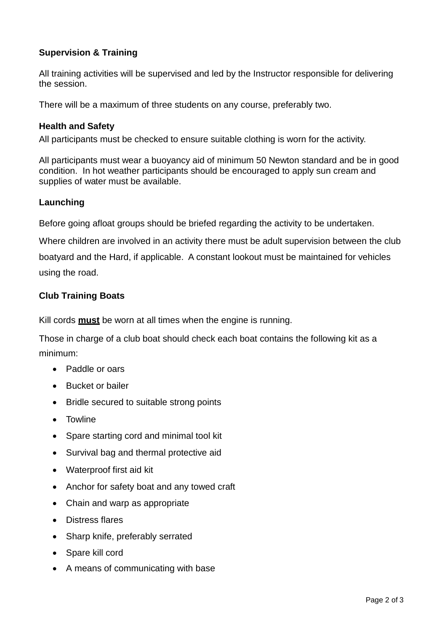### **Supervision & Training**

All training activities will be supervised and led by the Instructor responsible for delivering the session.

There will be a maximum of three students on any course, preferably two.

#### **Health and Safety**

All participants must be checked to ensure suitable clothing is worn for the activity.

All participants must wear a buoyancy aid of minimum 50 Newton standard and be in good condition. In hot weather participants should be encouraged to apply sun cream and supplies of water must be available.

#### **Launching**

Before going afloat groups should be briefed regarding the activity to be undertaken.

Where children are involved in an activity there must be adult supervision between the club boatyard and the Hard, if applicable. A constant lookout must be maintained for vehicles using the road.

#### **Club Training Boats**

Kill cords **must** be worn at all times when the engine is running.

Those in charge of a club boat should check each boat contains the following kit as a minimum:

- Paddle or oars
- Bucket or bailer
- Bridle secured to suitable strong points
- Towline
- Spare starting cord and minimal tool kit
- Survival bag and thermal protective aid
- Waterproof first aid kit
- Anchor for safety boat and any towed craft
- Chain and warp as appropriate
- Distress flares
- Sharp knife, preferably serrated
- Spare kill cord
- A means of communicating with base